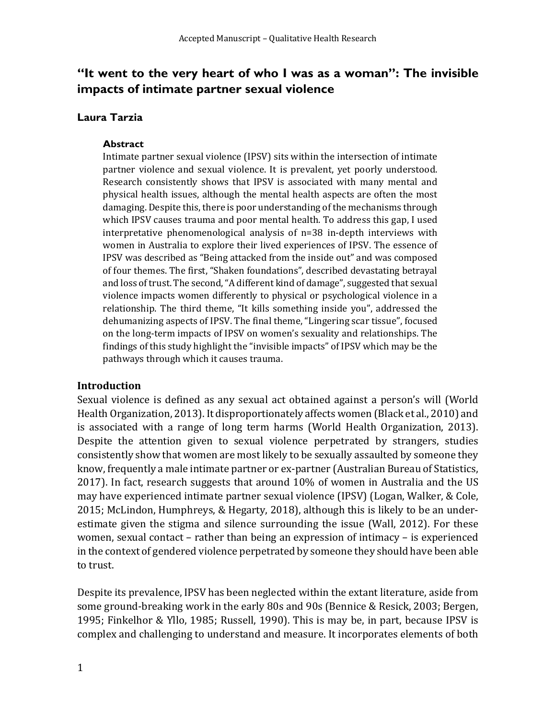# **"It went to the very heart of who I was as a woman": The invisible impacts of intimate partner sexual violence**

#### **Laura Tarzia**

#### **Abstract**

Intimate partner sexual violence (IPSV) sits within the intersection of intimate partner violence and sexual violence. It is prevalent, yet poorly understood. Research consistently shows that IPSV is associated with many mental and physical health issues, although the mental health aspects are often the most damaging. Despite this, there is poor understanding of the mechanisms through which IPSV causes trauma and poor mental health. To address this gap, I used interpretative phenomenological analysis of n=38 in-depth interviews with women in Australia to explore their lived experiences of IPSV. The essence of IPSV was described as "Being attacked from the inside out" and was composed of four themes. The first, "Shaken foundations", described devastating betrayal and loss of trust. The second, "A different kind of damage", suggested that sexual violence impacts women differently to physical or psychological violence in a relationship. The third theme, "It kills something inside you", addressed the dehumanizing aspects of IPSV. The final theme, "Lingering scar tissue", focused on the long-term impacts of IPSV on women's sexuality and relationships. The findings of this study highlight the "invisible impacts" of IPSV which may be the pathways through which it causes trauma.

#### **Introduction**

Sexual violence is defined as any sexual act obtained against a person's will (World Health Organization, 2013). It disproportionately affects women (Black et al., 2010) and is associated with a range of long term harms (World Health Organization, 2013). Despite the attention given to sexual violence perpetrated by strangers, studies consistently show that women are most likely to be sexually assaulted by someone they know, frequently a male intimate partner or ex-partner (Australian Bureau of Statistics, 2017). In fact, research suggests that around 10% of women in Australia and the US may have experienced intimate partner sexual violence (IPSV) (Logan, Walker, & Cole, 2015; McLindon, Humphreys, & Hegarty, 2018), although this is likely to be an underestimate given the stigma and silence surrounding the issue (Wall, 2012). For these women, sexual contact – rather than being an expression of intimacy – is experienced in the context of gendered violence perpetrated by someone they should have been able to trust.

Despite its prevalence, IPSV has been neglected within the extant literature, aside from some ground-breaking work in the early 80s and 90s (Bennice & Resick, 2003; Bergen, 1995; Finkelhor & Yllo, 1985; Russell, 1990). This is may be, in part, because IPSV is complex and challenging to understand and measure. It incorporates elements of both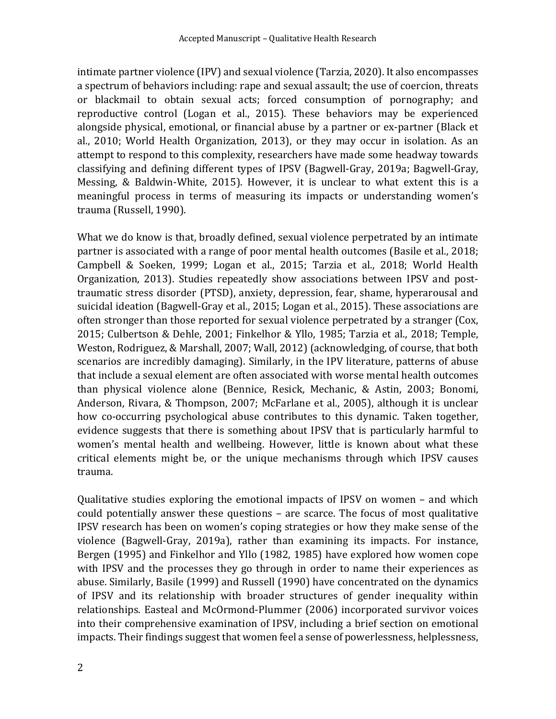intimate partner violence (IPV) and sexual violence (Tarzia, 2020). It also encompasses a spectrum of behaviors including: rape and sexual assault; the use of coercion, threats or blackmail to obtain sexual acts; forced consumption of pornography; and reproductive control (Logan et al., 2015). These behaviors may be experienced alongside physical, emotional, or financial abuse by a partner or ex-partner (Black et al., 2010; World Health Organization, 2013), or they may occur in isolation. As an attempt to respond to this complexity, researchers have made some headway towards classifying and defining different types of IPSV (Bagwell-Gray, 2019a; Bagwell-Gray, Messing, & Baldwin-White, 2015). However, it is unclear to what extent this is a meaningful process in terms of measuring its impacts or understanding women's trauma (Russell, 1990).

What we do know is that, broadly defined, sexual violence perpetrated by an intimate partner is associated with a range of poor mental health outcomes (Basile et al., 2018; Campbell & Soeken, 1999; Logan et al., 2015; Tarzia et al., 2018; World Health Organization, 2013). Studies repeatedly show associations between IPSV and posttraumatic stress disorder (PTSD), anxiety, depression, fear, shame, hyperarousal and suicidal ideation (Bagwell-Gray et al., 2015; Logan et al., 2015). These associations are often stronger than those reported for sexual violence perpetrated by a stranger (Cox, 2015; Culbertson & Dehle, 2001; Finkelhor & Yllo, 1985; Tarzia et al., 2018; Temple, Weston, Rodriguez, & Marshall, 2007; Wall, 2012) (acknowledging, of course, that both scenarios are incredibly damaging). Similarly, in the IPV literature, patterns of abuse that include a sexual element are often associated with worse mental health outcomes than physical violence alone (Bennice, Resick, Mechanic, & Astin, 2003; Bonomi, Anderson, Rivara, & Thompson, 2007; McFarlane et al., 2005), although it is unclear how co-occurring psychological abuse contributes to this dynamic. Taken together, evidence suggests that there is something about IPSV that is particularly harmful to women's mental health and wellbeing. However, little is known about what these critical elements might be, or the unique mechanisms through which IPSV causes trauma.

Qualitative studies exploring the emotional impacts of IPSV on women – and which could potentially answer these questions – are scarce. The focus of most qualitative IPSV research has been on women's coping strategies or how they make sense of the violence (Bagwell-Gray, 2019a), rather than examining its impacts. For instance, Bergen (1995) and Finkelhor and Yllo (1982, 1985) have explored how women cope with IPSV and the processes they go through in order to name their experiences as abuse. Similarly, Basile (1999) and Russell (1990) have concentrated on the dynamics of IPSV and its relationship with broader structures of gender inequality within relationships. Easteal and McOrmond-Plummer (2006) incorporated survivor voices into their comprehensive examination of IPSV, including a brief section on emotional impacts. Their findings suggest that women feel a sense of powerlessness, helplessness,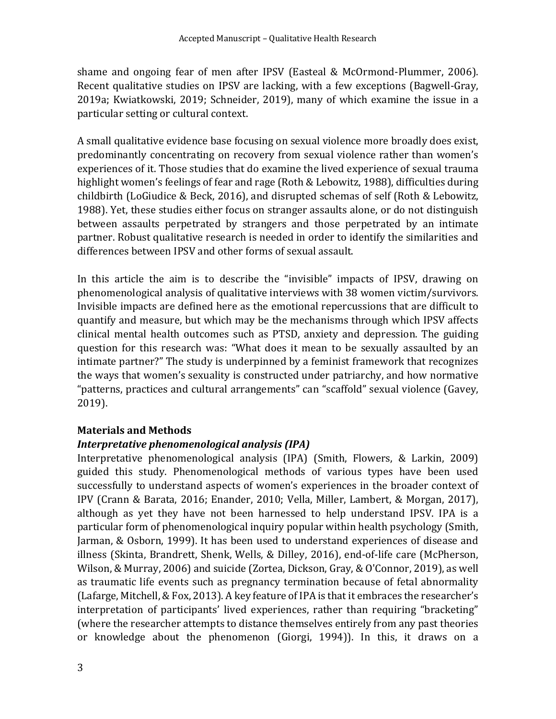shame and ongoing fear of men after IPSV (Easteal & McOrmond-Plummer, 2006). Recent qualitative studies on IPSV are lacking, with a few exceptions (Bagwell-Gray, 2019a; Kwiatkowski, 2019; Schneider, 2019), many of which examine the issue in a particular setting or cultural context.

A small qualitative evidence base focusing on sexual violence more broadly does exist, predominantly concentrating on recovery from sexual violence rather than women's experiences of it. Those studies that do examine the lived experience of sexual trauma highlight women's feelings of fear and rage (Roth & Lebowitz, 1988), difficulties during childbirth (LoGiudice & Beck, 2016), and disrupted schemas of self (Roth & Lebowitz, 1988). Yet, these studies either focus on stranger assaults alone, or do not distinguish between assaults perpetrated by strangers and those perpetrated by an intimate partner. Robust qualitative research is needed in order to identify the similarities and differences between IPSV and other forms of sexual assault.

In this article the aim is to describe the "invisible" impacts of IPSV, drawing on phenomenological analysis of qualitative interviews with 38 women victim/survivors. Invisible impacts are defined here as the emotional repercussions that are difficult to quantify and measure, but which may be the mechanisms through which IPSV affects clinical mental health outcomes such as PTSD, anxiety and depression. The guiding question for this research was: "What does it mean to be sexually assaulted by an intimate partner?" The study is underpinned by a feminist framework that recognizes the ways that women's sexuality is constructed under patriarchy, and how normative "patterns, practices and cultural arrangements" can "scaffold" sexual violence (Gavey, 2019).

#### **Materials and Methods**

#### *Interpretative phenomenological analysis (IPA)*

Interpretative phenomenological analysis (IPA) (Smith, Flowers, & Larkin, 2009) guided this study. Phenomenological methods of various types have been used successfully to understand aspects of women's experiences in the broader context of IPV (Crann & Barata, 2016; Enander, 2010; Vella, Miller, Lambert, & Morgan, 2017), although as yet they have not been harnessed to help understand IPSV. IPA is a particular form of phenomenological inquiry popular within health psychology (Smith, Jarman, & Osborn, 1999). It has been used to understand experiences of disease and illness (Skinta, Brandrett, Shenk, Wells, & Dilley, 2016), end-of-life care (McPherson, Wilson, & Murray, 2006) and suicide (Zortea, Dickson, Gray, & O'Connor, 2019), as well as traumatic life events such as pregnancy termination because of fetal abnormality (Lafarge, Mitchell, & Fox, 2013). A key feature of IPA is that it embraces the researcher's interpretation of participants' lived experiences, rather than requiring "bracketing" (where the researcher attempts to distance themselves entirely from any past theories or knowledge about the phenomenon (Giorgi, 1994)). In this, it draws on a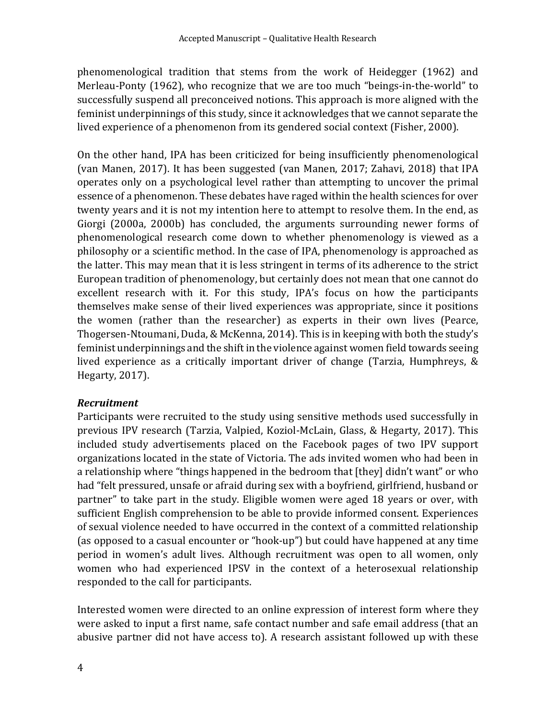phenomenological tradition that stems from the work of Heidegger (1962) and Merleau-Ponty (1962), who recognize that we are too much "beings-in-the-world" to successfully suspend all preconceived notions. This approach is more aligned with the feminist underpinnings of this study, since it acknowledges that we cannot separate the lived experience of a phenomenon from its gendered social context (Fisher, 2000).

On the other hand, IPA has been criticized for being insufficiently phenomenological (van Manen, 2017). It has been suggested (van Manen, 2017; Zahavi, 2018) that IPA operates only on a psychological level rather than attempting to uncover the primal essence of a phenomenon. These debates have raged within the health sciences for over twenty years and it is not my intention here to attempt to resolve them. In the end, as Giorgi (2000a, 2000b) has concluded, the arguments surrounding newer forms of phenomenological research come down to whether phenomenology is viewed as a philosophy or a scientific method. In the case of IPA, phenomenology is approached as the latter. This may mean that it is less stringent in terms of its adherence to the strict European tradition of phenomenology, but certainly does not mean that one cannot do excellent research with it. For this study, IPA's focus on how the participants themselves make sense of their lived experiences was appropriate, since it positions the women (rather than the researcher) as experts in their own lives (Pearce, Thogersen-Ntoumani, Duda, & McKenna, 2014). This is in keeping with both the study's feminist underpinnings and the shift in the violence against women field towards seeing lived experience as a critically important driver of change (Tarzia, Humphreys, & Hegarty, 2017).

#### *Recruitment*

Participants were recruited to the study using sensitive methods used successfully in previous IPV research (Tarzia, Valpied, Koziol-McLain, Glass, & Hegarty, 2017). This included study advertisements placed on the Facebook pages of two IPV support organizations located in the state of Victoria. The ads invited women who had been in a relationship where "things happened in the bedroom that [they] didn't want" or who had "felt pressured, unsafe or afraid during sex with a boyfriend, girlfriend, husband or partner" to take part in the study. Eligible women were aged 18 years or over, with sufficient English comprehension to be able to provide informed consent. Experiences of sexual violence needed to have occurred in the context of a committed relationship (as opposed to a casual encounter or "hook-up") but could have happened at any time period in women's adult lives. Although recruitment was open to all women, only women who had experienced IPSV in the context of a heterosexual relationship responded to the call for participants.

Interested women were directed to an online expression of interest form where they were asked to input a first name, safe contact number and safe email address (that an abusive partner did not have access to). A research assistant followed up with these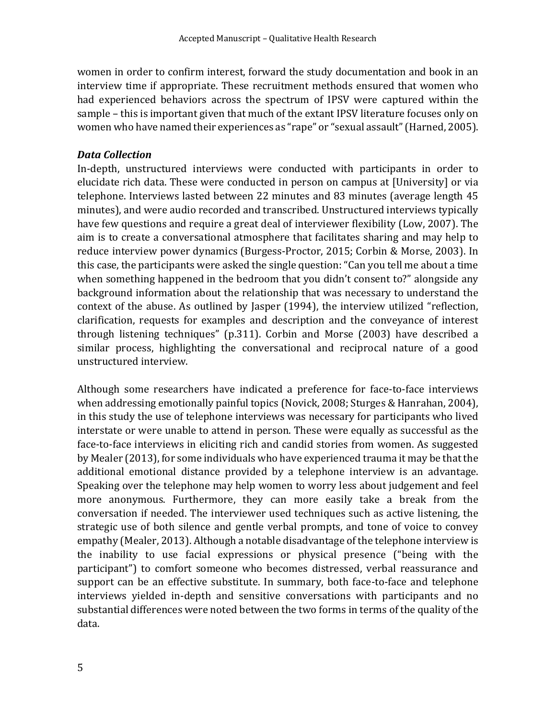women in order to confirm interest, forward the study documentation and book in an interview time if appropriate. These recruitment methods ensured that women who had experienced behaviors across the spectrum of IPSV were captured within the sample – this is important given that much of the extant IPSV literature focuses only on women who have named their experiences as "rape" or "sexual assault" (Harned, 2005).

## *Data Collection*

In-depth, unstructured interviews were conducted with participants in order to elucidate rich data. These were conducted in person on campus at [University] or via telephone. Interviews lasted between 22 minutes and 83 minutes (average length 45 minutes), and were audio recorded and transcribed. Unstructured interviews typically have few questions and require a great deal of interviewer flexibility (Low, 2007). The aim is to create a conversational atmosphere that facilitates sharing and may help to reduce interview power dynamics (Burgess-Proctor, 2015; Corbin & Morse, 2003). In this case, the participants were asked the single question: "Can you tell me about a time when something happened in the bedroom that you didn't consent to?" alongside any background information about the relationship that was necessary to understand the context of the abuse. As outlined by Jasper (1994), the interview utilized "reflection, clarification, requests for examples and description and the conveyance of interest through listening techniques" (p.311). Corbin and Morse (2003) have described a similar process, highlighting the conversational and reciprocal nature of a good unstructured interview.

Although some researchers have indicated a preference for face-to-face interviews when addressing emotionally painful topics (Novick, 2008; Sturges & Hanrahan, 2004), in this study the use of telephone interviews was necessary for participants who lived interstate or were unable to attend in person. These were equally as successful as the face-to-face interviews in eliciting rich and candid stories from women. As suggested by Mealer (2013), for some individuals who have experienced trauma it may be that the additional emotional distance provided by a telephone interview is an advantage. Speaking over the telephone may help women to worry less about judgement and feel more anonymous. Furthermore, they can more easily take a break from the conversation if needed. The interviewer used techniques such as active listening, the strategic use of both silence and gentle verbal prompts, and tone of voice to convey empathy (Mealer, 2013). Although a notable disadvantage of the telephone interview is the inability to use facial expressions or physical presence ("being with the participant") to comfort someone who becomes distressed, verbal reassurance and support can be an effective substitute. In summary, both face-to-face and telephone interviews yielded in-depth and sensitive conversations with participants and no substantial differences were noted between the two forms in terms of the quality of the data.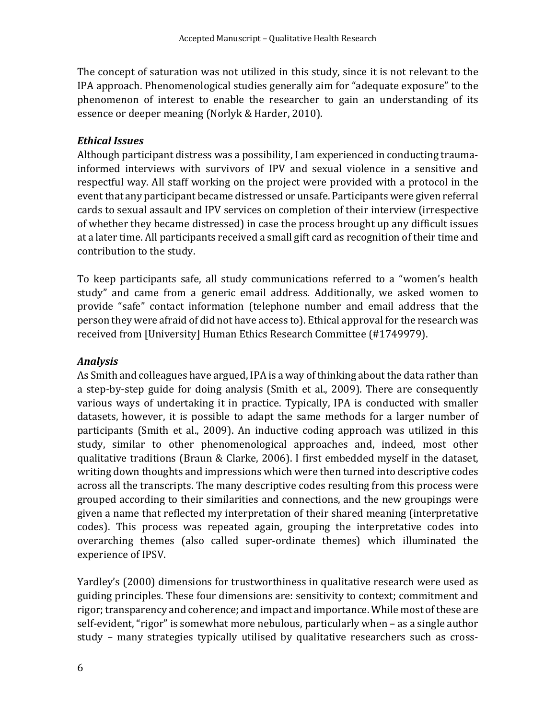The concept of saturation was not utilized in this study, since it is not relevant to the IPA approach. Phenomenological studies generally aim for "adequate exposure" to the phenomenon of interest to enable the researcher to gain an understanding of its essence or deeper meaning (Norlyk & Harder, 2010).

# *Ethical Issues*

Although participant distress was a possibility, I am experienced in conducting traumainformed interviews with survivors of IPV and sexual violence in a sensitive and respectful way. All staff working on the project were provided with a protocol in the event that any participant became distressed or unsafe. Participants were given referral cards to sexual assault and IPV services on completion of their interview (irrespective of whether they became distressed) in case the process brought up any difficult issues at a later time. All participants received a small gift card as recognition of their time and contribution to the study.

To keep participants safe, all study communications referred to a "women's health study" and came from a generic email address. Additionally, we asked women to provide "safe" contact information (telephone number and email address that the person they were afraid of did not have access to). Ethical approval for the research was received from [University] Human Ethics Research Committee (#1749979).

# *Analysis*

As Smith and colleagues have argued, IPA is a way of thinking about the data rather than a step-by-step guide for doing analysis (Smith et al., 2009). There are consequently various ways of undertaking it in practice. Typically, IPA is conducted with smaller datasets, however, it is possible to adapt the same methods for a larger number of participants (Smith et al., 2009). An inductive coding approach was utilized in this study, similar to other phenomenological approaches and, indeed, most other qualitative traditions (Braun & Clarke, 2006). I first embedded myself in the dataset, writing down thoughts and impressions which were then turned into descriptive codes across all the transcripts. The many descriptive codes resulting from this process were grouped according to their similarities and connections, and the new groupings were given a name that reflected my interpretation of their shared meaning (interpretative codes). This process was repeated again, grouping the interpretative codes into overarching themes (also called super-ordinate themes) which illuminated the experience of IPSV.

Yardley's (2000) dimensions for trustworthiness in qualitative research were used as guiding principles. These four dimensions are: sensitivity to context; commitment and rigor; transparency and coherence; and impact and importance. While most of these are self-evident, "rigor" is somewhat more nebulous, particularly when – as a single author study – many strategies typically utilised by qualitative researchers such as cross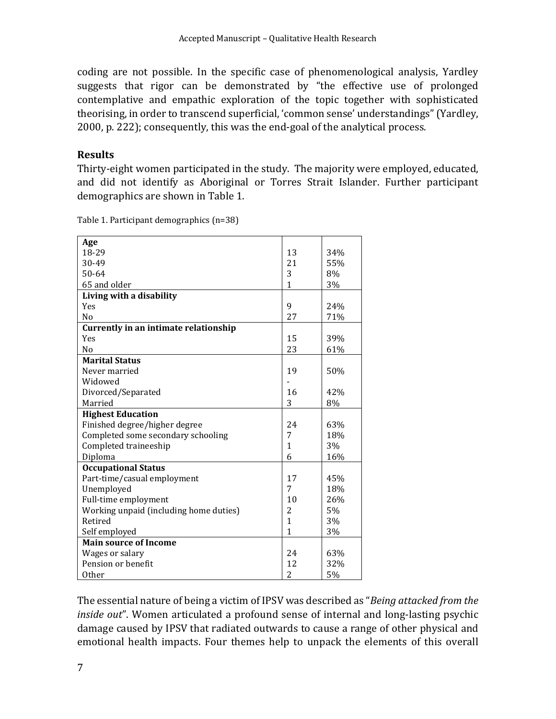coding are not possible. In the specific case of phenomenological analysis, Yardley suggests that rigor can be demonstrated by "the effective use of prolonged contemplative and empathic exploration of the topic together with sophisticated theorising, in order to transcend superficial, 'common sense' understandings" (Yardley, 2000, p. 222); consequently, this was the end-goal of the analytical process.

## **Results**

Thirty-eight women participated in the study. The majority were employed, educated, and did not identify as Aboriginal or Torres Strait Islander. Further participant demographics are shown in Table 1.

| Age                                    |                |     |
|----------------------------------------|----------------|-----|
| 18-29                                  | 13             | 34% |
| 30-49                                  | 21             | 55% |
| 50-64                                  | 3              | 8%  |
| 65 and older                           | $\mathbf{1}$   | 3%  |
| Living with a disability               |                |     |
| Yes                                    | 9              | 24% |
| N <sub>0</sub>                         | 27             | 71% |
| Currently in an intimate relationship  |                |     |
| <b>Yes</b>                             | 15             | 39% |
| No                                     | 23             | 61% |
| <b>Marital Status</b>                  |                |     |
| Never married                          | 19             | 50% |
| Widowed                                |                |     |
| Divorced/Separated                     | 16             | 42% |
| Married                                | 3              | 8%  |
| <b>Highest Education</b>               |                |     |
| Finished degree/higher degree          | 24             | 63% |
| Completed some secondary schooling     | 7              | 18% |
| Completed traineeship                  | 1              | 3%  |
| Diploma                                | 6              | 16% |
| <b>Occupational Status</b>             |                |     |
| Part-time/casual employment            | 17             | 45% |
| Unemployed                             | 7              | 18% |
| Full-time employment                   | 10             | 26% |
| Working unpaid (including home duties) | $\overline{c}$ | 5%  |
| Retired                                | 1              | 3%  |
| Self employed                          | $\mathbf{1}$   | 3%  |
| <b>Main source of Income</b>           |                |     |
| Wages or salary                        | 24             | 63% |
| Pension or benefit                     | 12             | 32% |
| Other                                  | 2              | 5%  |
|                                        |                |     |

Table 1. Participant demographics (n=38)

The essential nature of being a victim of IPSV was described as "*Being attacked from the inside out*". Women articulated a profound sense of internal and long-lasting psychic damage caused by IPSV that radiated outwards to cause a range of other physical and emotional health impacts. Four themes help to unpack the elements of this overall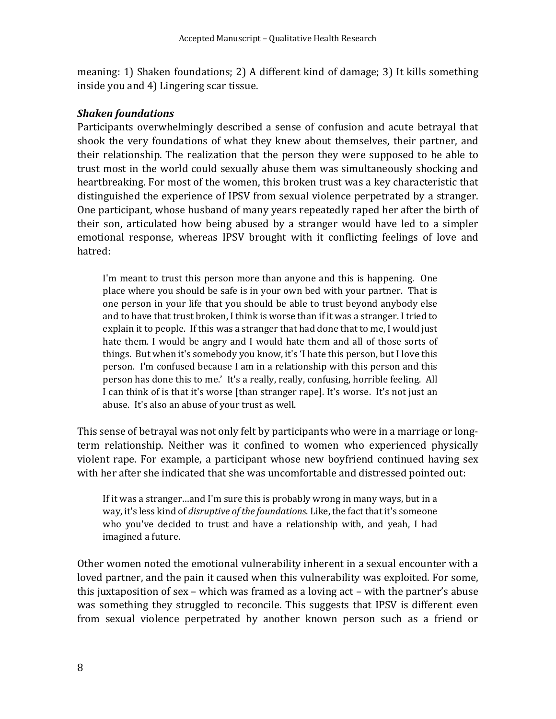meaning: 1) Shaken foundations; 2) A different kind of damage; 3) It kills something inside you and 4) Lingering scar tissue.

#### *Shaken foundations*

Participants overwhelmingly described a sense of confusion and acute betrayal that shook the very foundations of what they knew about themselves, their partner, and their relationship. The realization that the person they were supposed to be able to trust most in the world could sexually abuse them was simultaneously shocking and heartbreaking. For most of the women, this broken trust was a key characteristic that distinguished the experience of IPSV from sexual violence perpetrated by a stranger. One participant, whose husband of many years repeatedly raped her after the birth of their son, articulated how being abused by a stranger would have led to a simpler emotional response, whereas IPSV brought with it conflicting feelings of love and hatred:

I'm meant to trust this person more than anyone and this is happening. One place where you should be safe is in your own bed with your partner. That is one person in your life that you should be able to trust beyond anybody else and to have that trust broken, I think is worse than if it was a stranger. I tried to explain it to people. If this was a stranger that had done that to me, I would just hate them. I would be angry and I would hate them and all of those sorts of things. But when it's somebody you know, it's 'I hate this person, but I love this person. I'm confused because I am in a relationship with this person and this person has done this to me.' It's a really, really, confusing, horrible feeling. All I can think of is that it's worse [than stranger rape]. It's worse. It's not just an abuse. It's also an abuse of your trust as well.

This sense of betrayal was not only felt by participants who were in a marriage or longterm relationship. Neither was it confined to women who experienced physically violent rape. For example, a participant whose new boyfriend continued having sex with her after she indicated that she was uncomfortable and distressed pointed out:

If it was a stranger…and I'm sure this is probably wrong in many ways, but in a way, it's less kind of *disruptive of the foundations*. Like, the fact that it's someone who you've decided to trust and have a relationship with, and yeah, I had imagined a future.

Other women noted the emotional vulnerability inherent in a sexual encounter with a loved partner, and the pain it caused when this vulnerability was exploited. For some, this juxtaposition of sex – which was framed as a loving act – with the partner's abuse was something they struggled to reconcile. This suggests that IPSV is different even from sexual violence perpetrated by another known person such as a friend or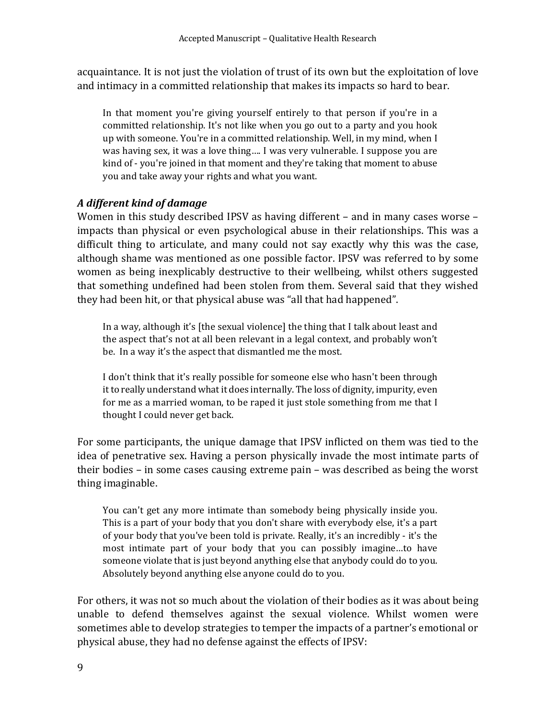acquaintance. It is not just the violation of trust of its own but the exploitation of love and intimacy in a committed relationship that makes its impacts so hard to bear.

In that moment you're giving yourself entirely to that person if you're in a committed relationship. It's not like when you go out to a party and you hook up with someone. You're in a committed relationship. Well, in my mind, when I was having sex, it was a love thing…. I was very vulnerable. I suppose you are kind of - you're joined in that moment and they're taking that moment to abuse you and take away your rights and what you want.

#### *A different kind of damage*

Women in this study described IPSV as having different – and in many cases worse – impacts than physical or even psychological abuse in their relationships. This was a difficult thing to articulate, and many could not say exactly why this was the case, although shame was mentioned as one possible factor. IPSV was referred to by some women as being inexplicably destructive to their wellbeing, whilst others suggested that something undefined had been stolen from them. Several said that they wished they had been hit, or that physical abuse was "all that had happened".

In a way, although it's [the sexual violence] the thing that I talk about least and the aspect that's not at all been relevant in a legal context, and probably won't be. In a way it's the aspect that dismantled me the most.

I don't think that it's really possible for someone else who hasn't been through it to really understand what it does internally. The loss of dignity, impurity, even for me as a married woman, to be raped it just stole something from me that I thought I could never get back.

For some participants, the unique damage that IPSV inflicted on them was tied to the idea of penetrative sex. Having a person physically invade the most intimate parts of their bodies – in some cases causing extreme pain – was described as being the worst thing imaginable.

You can't get any more intimate than somebody being physically inside you. This is a part of your body that you don't share with everybody else, it's a part of your body that you've been told is private. Really, it's an incredibly - it's the most intimate part of your body that you can possibly imagine…to have someone violate that is just beyond anything else that anybody could do to you. Absolutely beyond anything else anyone could do to you.

For others, it was not so much about the violation of their bodies as it was about being unable to defend themselves against the sexual violence. Whilst women were sometimes able to develop strategies to temper the impacts of a partner's emotional or physical abuse, they had no defense against the effects of IPSV: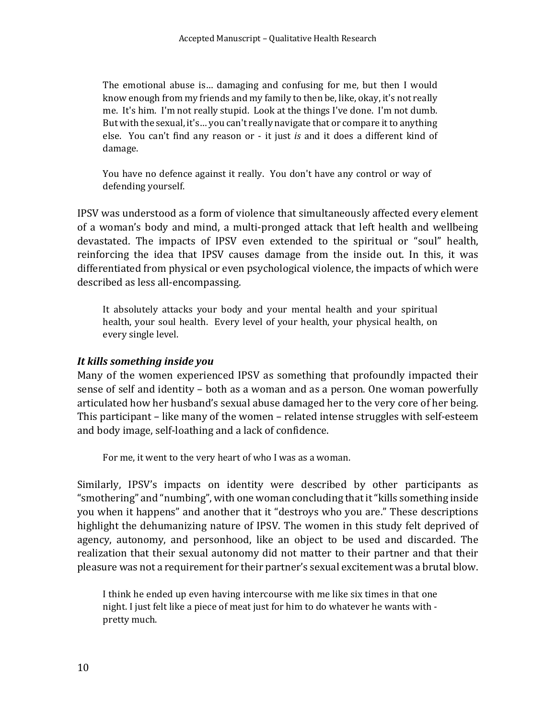The emotional abuse is… damaging and confusing for me, but then I would know enough from my friends and my family to then be, like, okay, it's not really me. It's him. I'm not really stupid. Look at the things I've done. I'm not dumb. But with the sexual, it's… you can't really navigate that or compare it to anything else. You can't find any reason or - it just *is* and it does a different kind of damage.

You have no defence against it really. You don't have any control or way of defending yourself.

IPSV was understood as a form of violence that simultaneously affected every element of a woman's body and mind, a multi-pronged attack that left health and wellbeing devastated. The impacts of IPSV even extended to the spiritual or "soul" health, reinforcing the idea that IPSV causes damage from the inside out. In this, it was differentiated from physical or even psychological violence, the impacts of which were described as less all-encompassing.

It absolutely attacks your body and your mental health and your spiritual health, your soul health. Every level of your health, your physical health, on every single level.

#### *It kills something inside you*

Many of the women experienced IPSV as something that profoundly impacted their sense of self and identity – both as a woman and as a person. One woman powerfully articulated how her husband's sexual abuse damaged her to the very core of her being. This participant – like many of the women – related intense struggles with self-esteem and body image, self-loathing and a lack of confidence.

For me, it went to the very heart of who I was as a woman.

Similarly, IPSV's impacts on identity were described by other participants as "smothering" and "numbing", with one woman concluding that it "kills something inside you when it happens" and another that it "destroys who you are." These descriptions highlight the dehumanizing nature of IPSV. The women in this study felt deprived of agency, autonomy, and personhood, like an object to be used and discarded. The realization that their sexual autonomy did not matter to their partner and that their pleasure was not a requirement for their partner's sexual excitement was a brutal blow.

I think he ended up even having intercourse with me like six times in that one night. I just felt like a piece of meat just for him to do whatever he wants with pretty much.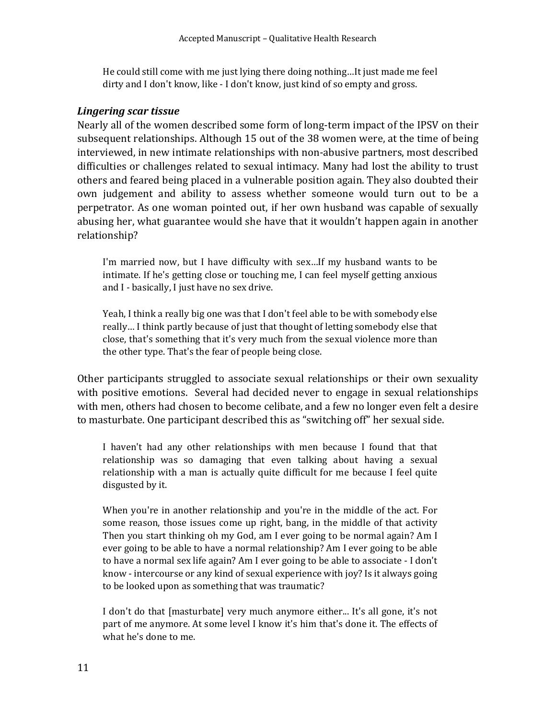He could still come with me just lying there doing nothing…It just made me feel dirty and I don't know, like - I don't know, just kind of so empty and gross.

#### *Lingering scar tissue*

Nearly all of the women described some form of long-term impact of the IPSV on their subsequent relationships. Although 15 out of the 38 women were, at the time of being interviewed, in new intimate relationships with non-abusive partners, most described difficulties or challenges related to sexual intimacy. Many had lost the ability to trust others and feared being placed in a vulnerable position again. They also doubted their own judgement and ability to assess whether someone would turn out to be a perpetrator. As one woman pointed out, if her own husband was capable of sexually abusing her, what guarantee would she have that it wouldn't happen again in another relationship?

I'm married now, but I have difficulty with sex…If my husband wants to be intimate. If he's getting close or touching me, I can feel myself getting anxious and I - basically, I just have no sex drive.

Yeah, I think a really big one was that I don't feel able to be with somebody else really… I think partly because of just that thought of letting somebody else that close, that's something that it's very much from the sexual violence more than the other type. That's the fear of people being close.

Other participants struggled to associate sexual relationships or their own sexuality with positive emotions. Several had decided never to engage in sexual relationships with men, others had chosen to become celibate, and a few no longer even felt a desire to masturbate. One participant described this as "switching off" her sexual side.

I haven't had any other relationships with men because I found that that relationship was so damaging that even talking about having a sexual relationship with a man is actually quite difficult for me because I feel quite disgusted by it.

When you're in another relationship and you're in the middle of the act. For some reason, those issues come up right, bang, in the middle of that activity Then you start thinking oh my God, am I ever going to be normal again? Am I ever going to be able to have a normal relationship? Am I ever going to be able to have a normal sex life again? Am I ever going to be able to associate - I don't know - intercourse or any kind of sexual experience with joy? Is it always going to be looked upon as something that was traumatic?

I don't do that [masturbate] very much anymore either... It's all gone, it's not part of me anymore. At some level I know it's him that's done it. The effects of what he's done to me.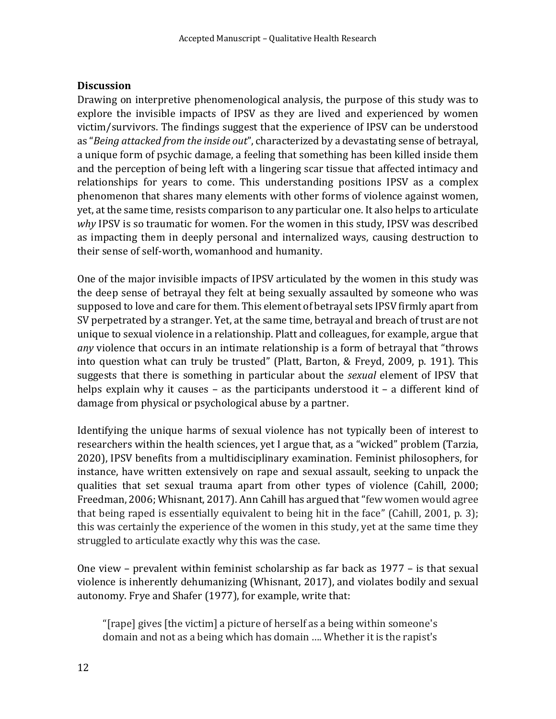#### **Discussion**

Drawing on interpretive phenomenological analysis, the purpose of this study was to explore the invisible impacts of IPSV as they are lived and experienced by women victim/survivors. The findings suggest that the experience of IPSV can be understood as "*Being attacked from the inside out*", characterized by a devastating sense of betrayal, a unique form of psychic damage, a feeling that something has been killed inside them and the perception of being left with a lingering scar tissue that affected intimacy and relationships for years to come. This understanding positions IPSV as a complex phenomenon that shares many elements with other forms of violence against women, yet, at the same time, resists comparison to any particular one. It also helps to articulate *why* IPSV is so traumatic for women. For the women in this study, IPSV was described as impacting them in deeply personal and internalized ways, causing destruction to their sense of self-worth, womanhood and humanity.

One of the major invisible impacts of IPSV articulated by the women in this study was the deep sense of betrayal they felt at being sexually assaulted by someone who was supposed to love and care for them. This element of betrayal sets IPSV firmly apart from SV perpetrated by a stranger. Yet, at the same time, betrayal and breach of trust are not unique to sexual violence in a relationship. Platt and colleagues, for example, argue that *any* violence that occurs in an intimate relationship is a form of betrayal that "throws into question what can truly be trusted" (Platt, Barton, & Freyd, 2009, p. 191). This suggests that there is something in particular about the *sexual* element of IPSV that helps explain why it causes – as the participants understood it – a different kind of damage from physical or psychological abuse by a partner.

Identifying the unique harms of sexual violence has not typically been of interest to researchers within the health sciences, yet I argue that, as a "wicked" problem (Tarzia, 2020), IPSV benefits from a multidisciplinary examination. Feminist philosophers, for instance, have written extensively on rape and sexual assault, seeking to unpack the qualities that set sexual trauma apart from other types of violence (Cahill, 2000; Freedman, 2006; Whisnant, 2017). Ann Cahill has argued that "few women would agree that being raped is essentially equivalent to being hit in the face" (Cahill, 2001, p. 3); this was certainly the experience of the women in this study, yet at the same time they struggled to articulate exactly why this was the case.

One view – prevalent within feminist scholarship as far back as 1977 – is that sexual violence is inherently dehumanizing (Whisnant, 2017), and violates bodily and sexual autonomy. Frye and Shafer (1977), for example, write that:

"[rape] gives [the victim] a picture of herself as a being within someone's domain and not as a being which has domain …. Whether it is the rapist's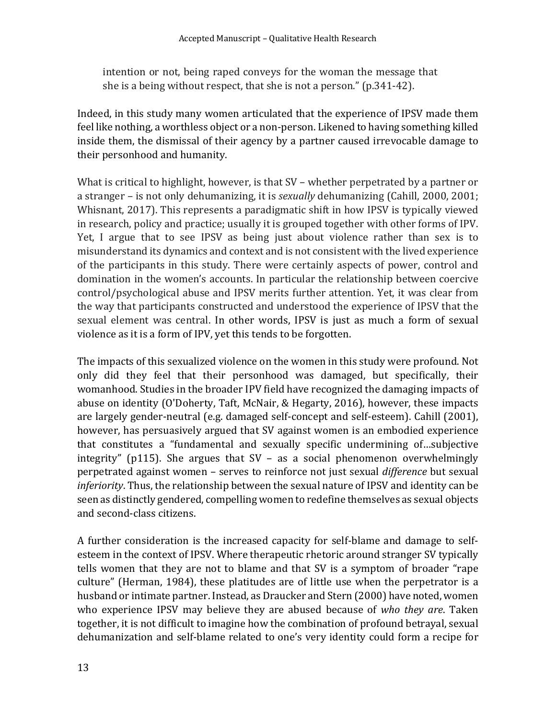intention or not, being raped conveys for the woman the message that she is a being without respect, that she is not a person." (p.341-42).

Indeed, in this study many women articulated that the experience of IPSV made them feel like nothing, a worthless object or a non-person. Likened to having something killed inside them, the dismissal of their agency by a partner caused irrevocable damage to their personhood and humanity.

What is critical to highlight, however, is that SV – whether perpetrated by a partner or a stranger – is not only dehumanizing, it is *sexually* dehumanizing (Cahill, 2000, 2001; Whisnant, 2017). This represents a paradigmatic shift in how IPSV is typically viewed in research, policy and practice; usually it is grouped together with other forms of IPV. Yet, I argue that to see IPSV as being just about violence rather than sex is to misunderstand its dynamics and context and is not consistent with the lived experience of the participants in this study. There were certainly aspects of power, control and domination in the women's accounts. In particular the relationship between coercive control/psychological abuse and IPSV merits further attention. Yet, it was clear from the way that participants constructed and understood the experience of IPSV that the sexual element was central. In other words, IPSV is just as much a form of sexual violence as it is a form of IPV, yet this tends to be forgotten.

The impacts of this sexualized violence on the women in this study were profound. Not only did they feel that their personhood was damaged, but specifically, their womanhood. Studies in the broader IPV field have recognized the damaging impacts of abuse on identity (O'Doherty, Taft, McNair, & Hegarty, 2016), however, these impacts are largely gender-neutral (e.g. damaged self-concept and self-esteem). Cahill (2001), however, has persuasively argued that SV against women is an embodied experience that constitutes a "fundamental and sexually specific undermining of…subjective integrity" (p115). She argues that SV – as a social phenomenon overwhelmingly perpetrated against women – serves to reinforce not just sexual *difference* but sexual *inferiority*. Thus, the relationship between the sexual nature of IPSV and identity can be seen as distinctly gendered, compelling women to redefine themselves as sexual objects and second-class citizens.

A further consideration is the increased capacity for self-blame and damage to selfesteem in the context of IPSV. Where therapeutic rhetoric around stranger SV typically tells women that they are not to blame and that SV is a symptom of broader "rape culture" (Herman, 1984), these platitudes are of little use when the perpetrator is a husband or intimate partner. Instead, as Draucker and Stern (2000) have noted, women who experience IPSV may believe they are abused because of *who they are*. Taken together, it is not difficult to imagine how the combination of profound betrayal, sexual dehumanization and self-blame related to one's very identity could form a recipe for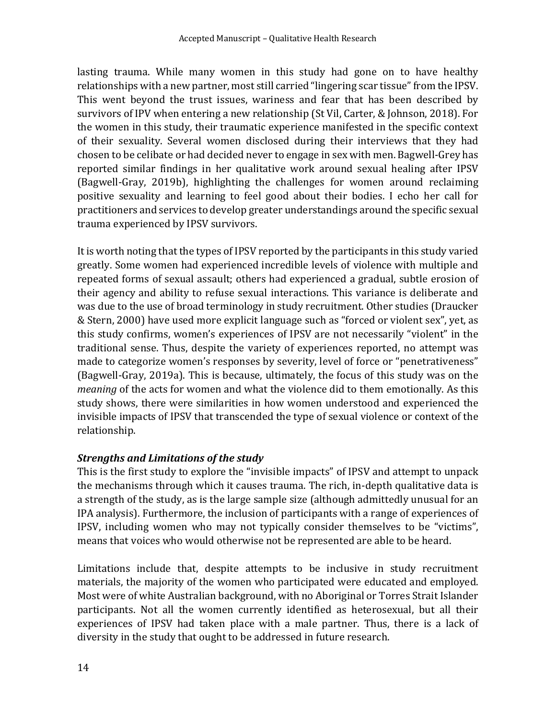lasting trauma. While many women in this study had gone on to have healthy relationships with a new partner, most still carried "lingering scar tissue" from the IPSV. This went beyond the trust issues, wariness and fear that has been described by survivors of IPV when entering a new relationship (St Vil, Carter, & Johnson, 2018). For the women in this study, their traumatic experience manifested in the specific context of their sexuality. Several women disclosed during their interviews that they had chosen to be celibate or had decided never to engage in sex with men. Bagwell-Grey has reported similar findings in her qualitative work around sexual healing after IPSV (Bagwell-Gray, 2019b), highlighting the challenges for women around reclaiming positive sexuality and learning to feel good about their bodies. I echo her call for practitioners and services to develop greater understandings around the specific sexual trauma experienced by IPSV survivors.

It is worth noting that the types of IPSV reported by the participants in this study varied greatly. Some women had experienced incredible levels of violence with multiple and repeated forms of sexual assault; others had experienced a gradual, subtle erosion of their agency and ability to refuse sexual interactions. This variance is deliberate and was due to the use of broad terminology in study recruitment. Other studies (Draucker & Stern, 2000) have used more explicit language such as "forced or violent sex", yet, as this study confirms, women's experiences of IPSV are not necessarily "violent" in the traditional sense. Thus, despite the variety of experiences reported, no attempt was made to categorize women's responses by severity, level of force or "penetrativeness" (Bagwell-Gray, 2019a). This is because, ultimately, the focus of this study was on the *meaning* of the acts for women and what the violence did to them emotionally. As this study shows, there were similarities in how women understood and experienced the invisible impacts of IPSV that transcended the type of sexual violence or context of the relationship.

# *Strengths and Limitations of the study*

This is the first study to explore the "invisible impacts" of IPSV and attempt to unpack the mechanisms through which it causes trauma. The rich, in-depth qualitative data is a strength of the study, as is the large sample size (although admittedly unusual for an IPA analysis). Furthermore, the inclusion of participants with a range of experiences of IPSV, including women who may not typically consider themselves to be "victims", means that voices who would otherwise not be represented are able to be heard.

Limitations include that, despite attempts to be inclusive in study recruitment materials, the majority of the women who participated were educated and employed. Most were of white Australian background, with no Aboriginal or Torres Strait Islander participants. Not all the women currently identified as heterosexual, but all their experiences of IPSV had taken place with a male partner. Thus, there is a lack of diversity in the study that ought to be addressed in future research.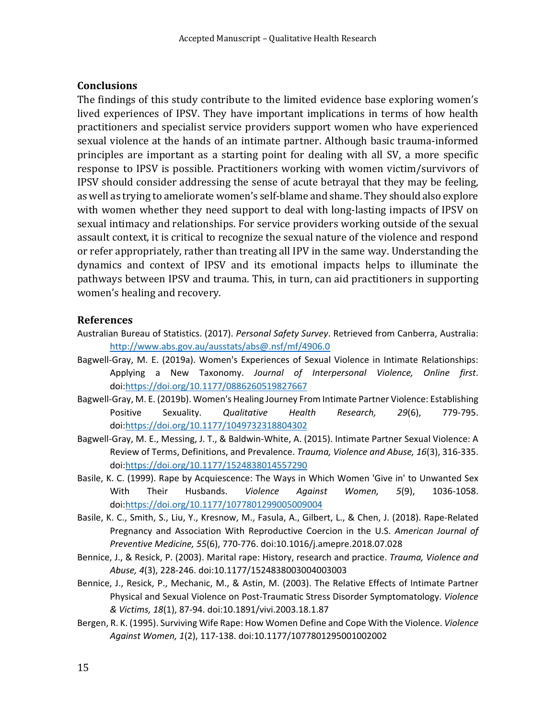#### **Conclusions**

The findings of this study contribute to the limited evidence base exploring women's lived experiences of IPSV. They have important implications in terms of how health practitioners and specialist service providers support women who have experienced sexual violence at the hands of an intimate partner. Although basic trauma-informed principles are important as a starting point for dealing with all SV, a more specific response to IPSV is possible. Practitioners working with women victim/survivors of IPSV should consider addressing the sense of acute betrayal that they may be feeling, as well as trying to ameliorate women's self-blame and shame. They should also explore with women whether they need support to deal with long-lasting impacts of IPSV on sexual intimacy and relationships. For service providers working outside of the sexual assault context, it is critical to recognize the sexual nature of the violence and respond or refer appropriately, rather than treating all IPV in the same way. Understanding the dynamics and context of IPSV and its emotional impacts helps to illuminate the pathways between IPSV and trauma. This, in turn, can aid practitioners in supporting women's healing and recovery.

#### **References**

- Australian Bureau of Statistics. (2017). *Personal Safety Survey*. Retrieved from Canberra, Australia: http://www.abs.gov.au/ausstats/abs@.nsf/mf/4906.0
- Bagwell-Gray, M. E. (2019a). Women's Experiences of Sexual Violence in Intimate Relationships: Applying a New Taxonomy. *Journal of Interpersonal Violence, Online first*. doi:https://doi.org/10.1177/0886260519827667
- Bagwell‐Gray, M. E. (2019b). Women's Healing Journey From Intimate Partner Violence: Establishing Positive Sexuality. *Qualitative Health Research, 29*(6), 779‐795. doi:https://doi.org/10.1177/1049732318804302
- Bagwell‐Gray, M. E., Messing, J. T., & Baldwin‐White, A. (2015). Intimate Partner Sexual Violence: A Review of Terms, Definitions, and Prevalence. *Trauma, Violence and Abuse, 16*(3), 316‐335. doi:https://doi.org/10.1177/1524838014557290
- Basile, K. C. (1999). Rape by Acquiescence: The Ways in Which Women 'Give in' to Unwanted Sex With Their Husbands. *Violence Against Women, 5*(9), 1036‐1058. doi:https://doi.org/10.1177/1077801299005009004
- Basile, K. C., Smith, S., Liu, Y., Kresnow, M., Fasula, A., Gilbert, L., & Chen, J. (2018). Rape‐Related Pregnancy and Association With Reproductive Coercion in the U.S. *American Journal of Preventive Medicine, 55*(6), 770‐776. doi:10.1016/j.amepre.2018.07.028
- Bennice, J., & Resick, P. (2003). Marital rape: History, research and practice. *Trauma, Violence and Abuse, 4*(3), 228‐246. doi:10.1177/1524838003004003003
- Bennice, J., Resick, P., Mechanic, M., & Astin, M. (2003). The Relative Effects of Intimate Partner Physical and Sexual Violence on Post‐Traumatic Stress Disorder Symptomatology. *Violence & Victims, 18*(1), 87‐94. doi:10.1891/vivi.2003.18.1.87
- Bergen, R. K. (1995). Surviving Wife Rape: How Women Define and Cope With the Violence. *Violence Against Women, 1*(2), 117‐138. doi:10.1177/1077801295001002002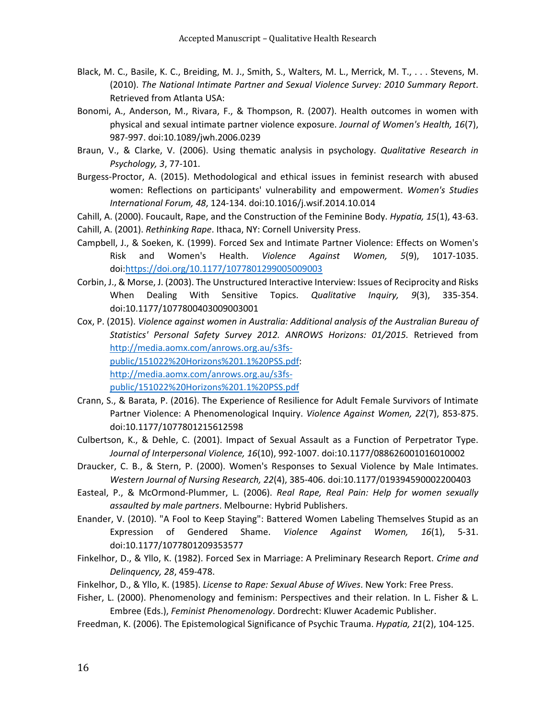- Black, M. C., Basile, K. C., Breiding, M. J., Smith, S., Walters, M. L., Merrick, M. T., . . . Stevens, M. (2010). *The National Intimate Partner and Sexual Violence Survey: 2010 Summary Report*. Retrieved from Atlanta USA:
- Bonomi, A., Anderson, M., Rivara, F., & Thompson, R. (2007). Health outcomes in women with physical and sexual intimate partner violence exposure. *Journal of Women's Health, 16*(7), 987‐997. doi:10.1089/jwh.2006.0239
- Braun, V., & Clarke, V. (2006). Using thematic analysis in psychology. *Qualitative Research in Psychology, 3*, 77‐101.
- Burgess-Proctor, A. (2015). Methodological and ethical issues in feminist research with abused women: Reflections on participants' vulnerability and empowerment. *Women's Studies International Forum, 48*, 124‐134. doi:10.1016/j.wsif.2014.10.014
- Cahill, A. (2000). Foucault, Rape, and the Construction of the Feminine Body. *Hypatia, 15*(1), 43‐63.
- Cahill, A. (2001). *Rethinking Rape*. Ithaca, NY: Cornell University Press.
- Campbell, J., & Soeken, K. (1999). Forced Sex and Intimate Partner Violence: Effects on Women's Risk and Women's Health. *Violence Against Women, 5*(9), 1017‐1035. doi:https://doi.org/10.1177/1077801299005009003
- Corbin, J., & Morse, J. (2003). The Unstructured Interactive Interview: Issues of Reciprocity and Risks When Dealing With Sensitive Topics. *Qualitative Inquiry, 9*(3), 335‐354. doi:10.1177/1077800403009003001
- Cox, P. (2015). *Violence against women in Australia: Additional analysis of the Australian Bureau of Statistics' Personal Safety Survey 2012. ANROWS Horizons: 01/2015.* Retrieved from http://media.aomx.com/anrows.org.au/s3fs‐ public/151022%20Horizons%201.1%20PSS.pdf: http://media.aomx.com/anrows.org.au/s3fs‐ public/151022%20Horizons%201.1%20PSS.pdf
- Crann, S., & Barata, P. (2016). The Experience of Resilience for Adult Female Survivors of Intimate Partner Violence: A Phenomenological Inquiry. *Violence Against Women, 22*(7), 853‐875. doi:10.1177/1077801215612598
- Culbertson, K., & Dehle, C. (2001). Impact of Sexual Assault as a Function of Perpetrator Type. *Journal of Interpersonal Violence, 16*(10), 992‐1007. doi:10.1177/088626001016010002
- Draucker, C. B., & Stern, P. (2000). Women's Responses to Sexual Violence by Male Intimates. *Western Journal of Nursing Research, 22*(4), 385‐406. doi:10.1177/019394590002200403
- Easteal, P., & McOrmond‐Plummer, L. (2006). *Real Rape, Real Pain: Help for women sexually assaulted by male partners*. Melbourne: Hybrid Publishers.
- Enander, V. (2010). "A Fool to Keep Staying": Battered Women Labeling Themselves Stupid as an Expression of Gendered Shame. *Violence Against Women, 16*(1), 5‐31. doi:10.1177/1077801209353577
- Finkelhor, D., & Yllo, K. (1982). Forced Sex in Marriage: A Preliminary Research Report. *Crime and Delinquency, 28*, 459‐478.
- Finkelhor, D., & Yllo, K. (1985). *License to Rape: Sexual Abuse of Wives*. New York: Free Press.
- Fisher, L. (2000). Phenomenology and feminism: Perspectives and their relation. In L. Fisher & L. Embree (Eds.), *Feminist Phenomenology*. Dordrecht: Kluwer Academic Publisher.
- Freedman, K. (2006). The Epistemological Significance of Psychic Trauma. *Hypatia, 21*(2), 104‐125.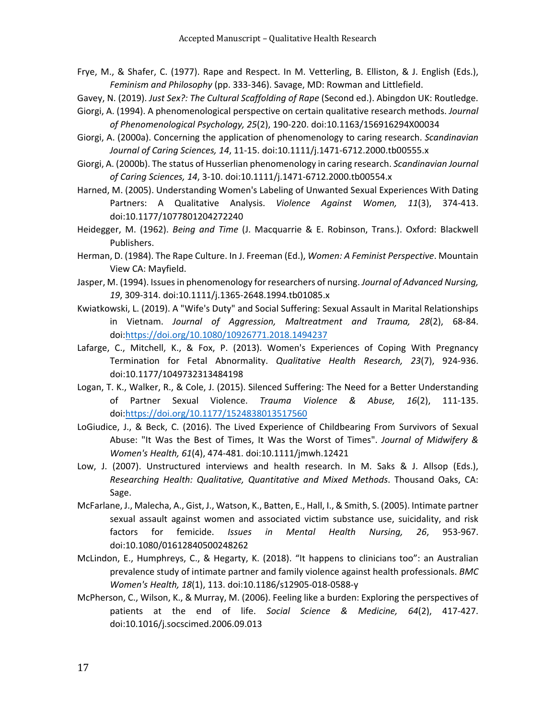- Frye, M., & Shafer, C. (1977). Rape and Respect. In M. Vetterling, B. Elliston, & J. English (Eds.), *Feminism and Philosophy* (pp. 333‐346). Savage, MD: Rowman and Littlefield.
- Gavey, N. (2019). *Just Sex?: The Cultural Scaffolding of Rape* (Second ed.). Abingdon UK: Routledge.
- Giorgi, A. (1994). A phenomenological perspective on certain qualitative research methods. *Journal of Phenomenological Psychology, 25*(2), 190‐220. doi:10.1163/156916294X00034
- Giorgi, A. (2000a). Concerning the application of phenomenology to caring research. *Scandinavian Journal of Caring Sciences, 14*, 11‐15. doi:10.1111/j.1471‐6712.2000.tb00555.x
- Giorgi, A. (2000b). The status of Husserlian phenomenology in caring research. *Scandinavian Journal of Caring Sciences, 14*, 3‐10. doi:10.1111/j.1471‐6712.2000.tb00554.x
- Harned, M. (2005). Understanding Women's Labeling of Unwanted Sexual Experiences With Dating Partners: A Qualitative Analysis. *Violence Against Women, 11*(3), 374‐413. doi:10.1177/1077801204272240
- Heidegger, M. (1962). *Being and Time* (J. Macquarrie & E. Robinson, Trans.). Oxford: Blackwell Publishers.
- Herman, D. (1984). The Rape Culture. In J. Freeman (Ed.), *Women: A Feminist Perspective*. Mountain View CA: Mayfield.
- Jasper, M. (1994). Issues in phenomenology for researchers of nursing. *Journal of Advanced Nursing, 19*, 309‐314. doi:10.1111/j.1365‐2648.1994.tb01085.x
- Kwiatkowski, L. (2019). A "Wife's Duty" and Social Suffering: Sexual Assault in Marital Relationships in Vietnam. *Journal of Aggression, Maltreatment and Trauma, 28*(2), 68‐84. doi:https://doi.org/10.1080/10926771.2018.1494237
- Lafarge, C., Mitchell, K., & Fox, P. (2013). Women's Experiences of Coping With Pregnancy Termination for Fetal Abnormality. *Qualitative Health Research, 23*(7), 924‐936. doi:10.1177/1049732313484198
- Logan, T. K., Walker, R., & Cole, J. (2015). Silenced Suffering: The Need for a Better Understanding of Partner Sexual Violence. *Trauma Violence & Abuse, 16*(2), 111‐135. doi:https://doi.org/10.1177/1524838013517560
- LoGiudice, J., & Beck, C. (2016). The Lived Experience of Childbearing From Survivors of Sexual Abuse: "It Was the Best of Times, It Was the Worst of Times". *Journal of Midwifery & Women's Health, 61*(4), 474‐481. doi:10.1111/jmwh.12421
- Low, J. (2007). Unstructured interviews and health research. In M. Saks & J. Allsop (Eds.), *Researching Health: Qualitative, Quantitative and Mixed Methods*. Thousand Oaks, CA: Sage.
- McFarlane, J., Malecha, A., Gist, J., Watson, K., Batten, E., Hall, I., & Smith, S. (2005). Intimate partner sexual assault against women and associated victim substance use, suicidality, and risk factors for femicide. *Issues in Mental Health Nursing, 26*, 953‐967. doi:10.1080/01612840500248262
- McLindon, E., Humphreys, C., & Hegarty, K. (2018). "It happens to clinicians too": an Australian prevalence study of intimate partner and family violence against health professionals. *BMC Women's Health, 18*(1), 113. doi:10.1186/s12905‐018‐0588‐y
- McPherson, C., Wilson, K., & Murray, M. (2006). Feeling like a burden: Exploring the perspectives of patients at the end of life. *Social Science & Medicine, 64*(2), 417‐427. doi:10.1016/j.socscimed.2006.09.013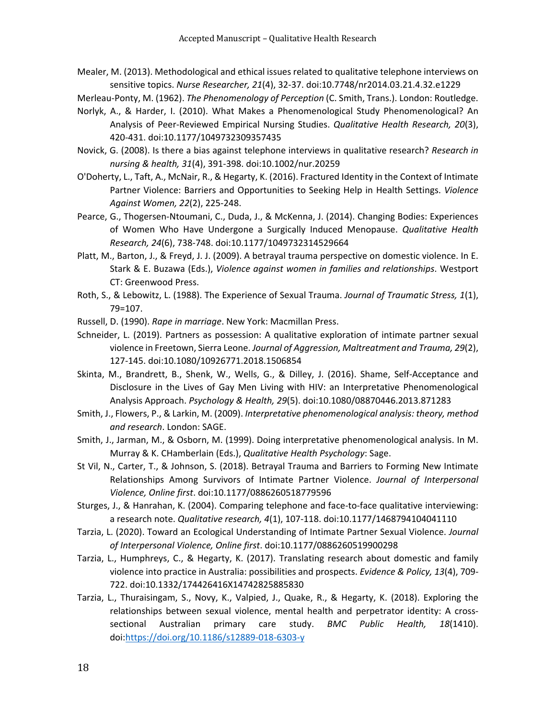- Mealer, M. (2013). Methodological and ethical issues related to qualitative telephone interviews on sensitive topics. *Nurse Researcher, 21*(4), 32‐37. doi:10.7748/nr2014.03.21.4.32.e1229
- Merleau‐Ponty, M. (1962). *The Phenomenology of Perception* (C. Smith, Trans.). London: Routledge.
- Norlyk, A., & Harder, I. (2010). What Makes a Phenomenological Study Phenomenological? An Analysis of Peer‐Reviewed Empirical Nursing Studies. *Qualitative Health Research, 20*(3), 420‐431. doi:10.1177/1049732309357435
- Novick, G. (2008). Is there a bias against telephone interviews in qualitative research? *Research in nursing & health, 31*(4), 391‐398. doi:10.1002/nur.20259
- O'Doherty, L., Taft, A., McNair, R., & Hegarty, K. (2016). Fractured Identity in the Context of Intimate Partner Violence: Barriers and Opportunities to Seeking Help in Health Settings. *Violence Against Women, 22*(2), 225‐248.
- Pearce, G., Thogersen‐Ntoumani, C., Duda, J., & McKenna, J. (2014). Changing Bodies: Experiences of Women Who Have Undergone a Surgically Induced Menopause. *Qualitative Health Research, 24*(6), 738‐748. doi:10.1177/1049732314529664
- Platt, M., Barton, J., & Freyd, J. J. (2009). A betrayal trauma perspective on domestic violence. In E. Stark & E. Buzawa (Eds.), *Violence against women in families and relationships*. Westport CT: Greenwood Press.
- Roth, S., & Lebowitz, L. (1988). The Experience of Sexual Trauma. *Journal of Traumatic Stress, 1*(1), 79=107.
- Russell, D. (1990). *Rape in marriage*. New York: Macmillan Press.
- Schneider, L. (2019). Partners as possession: A qualitative exploration of intimate partner sexual violence in Freetown, Sierra Leone. *Journal of Aggression, Maltreatment and Trauma, 29*(2), 127‐145. doi:10.1080/10926771.2018.1506854
- Skinta, M., Brandrett, B., Shenk, W., Wells, G., & Dilley, J. (2016). Shame, Self‐Acceptance and Disclosure in the Lives of Gay Men Living with HIV: an Interpretative Phenomenological Analysis Approach. *Psychology & Health, 29*(5). doi:10.1080/08870446.2013.871283
- Smith, J., Flowers, P., & Larkin, M. (2009). *Interpretative phenomenological analysis: theory, method and research*. London: SAGE.
- Smith, J., Jarman, M., & Osborn, M. (1999). Doing interpretative phenomenological analysis. In M. Murray & K. CHamberlain (Eds.), *Qualitative Health Psychology*: Sage.
- St Vil, N., Carter, T., & Johnson, S. (2018). Betrayal Trauma and Barriers to Forming New Intimate Relationships Among Survivors of Intimate Partner Violence. *Journal of Interpersonal Violence, Online first*. doi:10.1177/0886260518779596
- Sturges, J., & Hanrahan, K. (2004). Comparing telephone and face‐to‐face qualitative interviewing: a research note. *Qualitative research, 4*(1), 107‐118. doi:10.1177/1468794104041110
- Tarzia, L. (2020). Toward an Ecological Understanding of Intimate Partner Sexual Violence. *Journal of Interpersonal Violence, Online first*. doi:10.1177/0886260519900298
- Tarzia, L., Humphreys, C., & Hegarty, K. (2017). Translating research about domestic and family violence into practice in Australia: possibilities and prospects. *Evidence & Policy, 13*(4), 709‐ 722. doi:10.1332/174426416X14742825885830
- Tarzia, L., Thuraisingam, S., Novy, K., Valpied, J., Quake, R., & Hegarty, K. (2018). Exploring the relationships between sexual violence, mental health and perpetrator identity: A crosssectional Australian primary care study. *BMC Public Health, 18*(1410). doi:https://doi.org/10.1186/s12889‐018‐6303‐y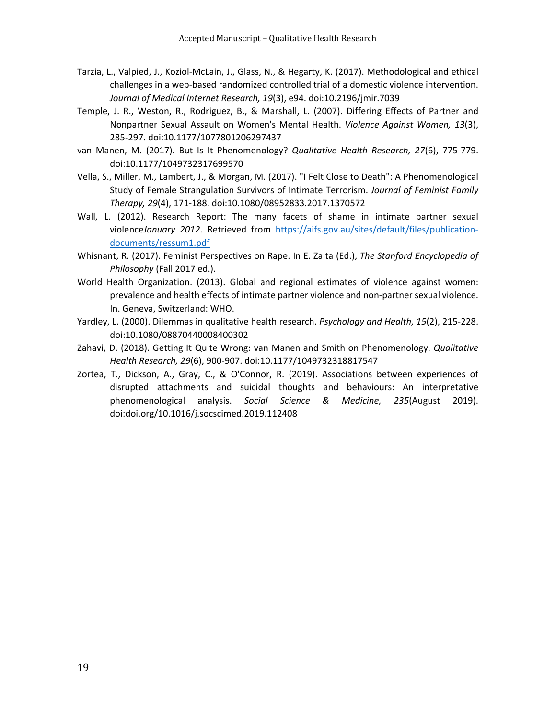- Tarzia, L., Valpied, J., Koziol‐McLain, J., Glass, N., & Hegarty, K. (2017). Methodological and ethical challenges in a web‐based randomized controlled trial of a domestic violence intervention. *Journal of Medical Internet Research, 19*(3), e94. doi:10.2196/jmir.7039
- Temple, J. R., Weston, R., Rodriguez, B., & Marshall, L. (2007). Differing Effects of Partner and Nonpartner Sexual Assault on Women's Mental Health. *Violence Against Women, 13*(3), 285‐297. doi:10.1177/1077801206297437
- van Manen, M. (2017). But Is It Phenomenology? *Qualitative Health Research, 27*(6), 775‐779. doi:10.1177/1049732317699570
- Vella, S., Miller, M., Lambert, J., & Morgan, M. (2017). "I Felt Close to Death": A Phenomenological Study of Female Strangulation Survivors of Intimate Terrorism. *Journal of Feminist Family Therapy, 29*(4), 171‐188. doi:10.1080/08952833.2017.1370572
- Wall, L. (2012). Research Report: The many facets of shame in intimate partner sexual violenceJanuary 2012. Retrieved from https://aifs.gov.au/sites/default/files/publicationdocuments/ressum1.pdf
- Whisnant, R. (2017). Feminist Perspectives on Rape. In E. Zalta (Ed.), *The Stanford Encyclopedia of Philosophy* (Fall 2017 ed.).
- World Health Organization. (2013). Global and regional estimates of violence against women: prevalence and health effects of intimate partner violence and non‐partner sexual violence. In. Geneva, Switzerland: WHO.
- Yardley, L. (2000). Dilemmas in qualitative health research. *Psychology and Health, 15*(2), 215‐228. doi:10.1080/08870440008400302
- Zahavi, D. (2018). Getting It Quite Wrong: van Manen and Smith on Phenomenology. *Qualitative Health Research, 29*(6), 900‐907. doi:10.1177/1049732318817547
- Zortea, T., Dickson, A., Gray, C., & O'Connor, R. (2019). Associations between experiences of disrupted attachments and suicidal thoughts and behaviours: An interpretative phenomenological analysis. *Social Science & Medicine, 235*(August 2019). doi:doi.org/10.1016/j.socscimed.2019.112408